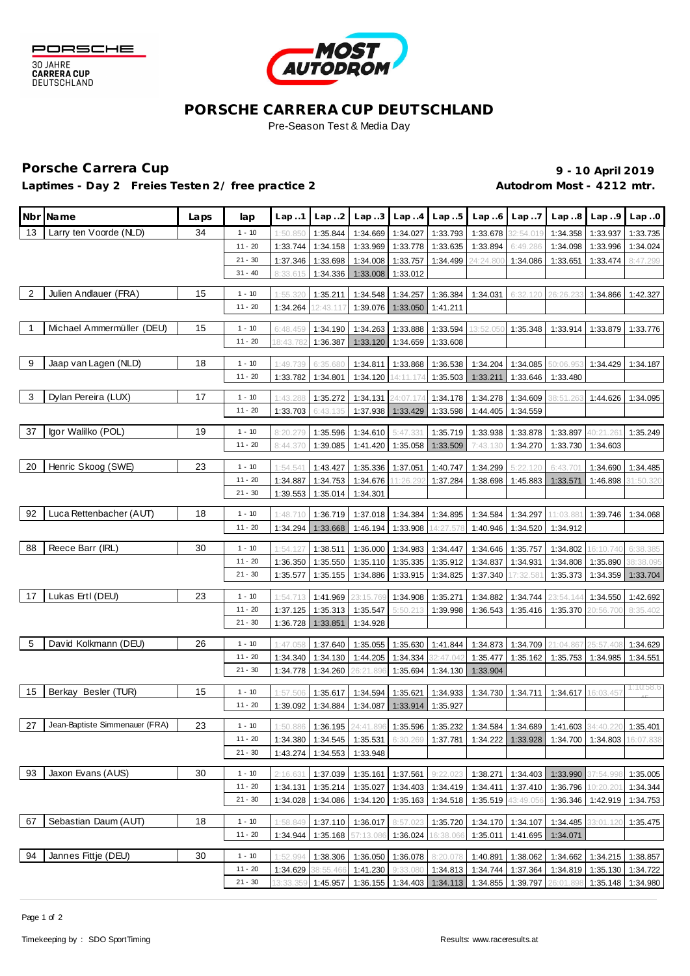



#### **PORSCHE CARRERA CUP DEUTSCHLAND** Pre-Season Test & Media Day

## Porsche Carrera Cup **10 April 2019 9 - 10 April 2019**

Laptimes - Day 2 Freies Testen 2/ free practice 2 **Autodrom Most - 4212 mtr.** 

|                         | Nbr Name                       | Laps | lap                    | Lap.1                | Lap.2                |                      | $Lap3$ $Lap4$ $Lap5$          |                      |                      | $Lap.6$ $Lap.7$      |                                                                                             | Lap. $.8$ Lap. $.9$ Lap. $.0$ |                       |
|-------------------------|--------------------------------|------|------------------------|----------------------|----------------------|----------------------|-------------------------------|----------------------|----------------------|----------------------|---------------------------------------------------------------------------------------------|-------------------------------|-----------------------|
| 13                      | Larry ten Voorde (NLD)         | 34   | $1 - 10$               | 1:50.850             | 1:35.844             | 1:34.669             | 1:34.027                      | 1:33.793             | 1:33.678             | 32:54.019            | 1:34.358                                                                                    | 1:33.937                      | 1:33.735              |
|                         |                                |      | $11 - 20$              | 1:33.744             | 1:34.158             | 1:33.969             | 1:33.778                      | 1:33.635             | 1:33.894             | 6:49.286             | 1:34.098                                                                                    | 1:33.996                      | 1:34.024              |
|                         |                                |      | $21 - 30$              | 1:37.346             | 1:33.698             | 1:34.008             | 1:33.757                      | 1:34.499             | 24:24.800            | 1:34.086             | 1:33.651                                                                                    | 1:33.474                      | 8:47.299              |
|                         |                                |      | $31 - 40$              | 8:33.615             | 1:34.336             | 1:33.008             | 1:33.012                      |                      |                      |                      |                                                                                             |                               |                       |
| $\overline{2}$          | Julien Andlauer (FRA)          | 15   | $1 - 10$               | 1:55.32              | 1:35.211             | 1:34.548             | 1:34.257                      | 1:36.384             | 1:34.031             | 6:32.120             | 26:26.2                                                                                     | 1:34.866                      | 1:42.327              |
|                         |                                |      | $11 - 20$              | 1:34.264             | 12:43.117            | 1:39.076             | 1:33.050                      | 1:41.211             |                      |                      |                                                                                             |                               |                       |
| $\overline{1}$          | Michael Ammermüller (DEU)      | 15   | $1 - 10$               | 6:48.459             |                      |                      |                               | 1:33.594             | 13:52.050            |                      |                                                                                             | 1:33.879                      |                       |
|                         |                                |      | $11 - 20$              | 18:43.78             | 1:34.190<br>1:36.387 | 1:34.263<br>1:33.120 | 1:33.888<br>1:34.659          | 1:33.608             |                      | 1:35.348             | 1:33.914                                                                                    |                               | 1:33.776              |
|                         |                                |      |                        |                      |                      |                      |                               |                      |                      |                      |                                                                                             |                               |                       |
| 9                       | Jaap van Lagen (NLD)           | 18   | $1 - 10$               | 1:49.739             | 6:35.68              | 1:34.811             | 1:33.868                      | 1:36.538             | 1:34.204             | 1:34.085             |                                                                                             | 1:34.429                      | 1:34.187              |
|                         |                                |      | $11 - 20$              | 1:33.782             | 1:34.801             | 1:34.120             | 14:11.174                     | 1:35.503             | 1:33.211             | 1:33.646             | 1:33.480                                                                                    |                               |                       |
| $\overline{\mathbf{3}}$ | Dylan Pereira (LUX)            | 17   | $1 - 10$               | 1:43.288             | 1:35.272             | 1:34.131             | 24:07.174                     | 1:34.178             | 1:34.278             | 1:34.609             | 88:51.26                                                                                    | 1:44.626                      | 1:34.095              |
|                         |                                |      | 11 - 20                | 1:33.703             | 6:43.135             | 1:37.938             | 1:33.429                      | 1:33.598             | 1:44.405             | 1:34.559             |                                                                                             |                               |                       |
|                         | Igor Walilko (POL)             |      |                        |                      |                      |                      |                               |                      |                      |                      |                                                                                             |                               |                       |
| 37                      |                                | 19   | $1 - 10$<br>$11 - 20$  | 8:20.279             | 1:35.596<br>1:39.085 | 1:34.610             | 5:47.331<br>1:35.058 1:33.509 | 1:35.719             | 1:33.938             | 1:33.878             | 1:33.897                                                                                    | 40:21.26                      | 1:35.249              |
|                         |                                |      |                        | 8:44.370             |                      | 1:41.420             |                               |                      | 7:43.130             | 1:34.270             | 1:33.730                                                                                    | 1:34.603                      |                       |
| 20                      | Henric Skoog (SWE)             | 23   | $1 - 10$               | 1:54.541             | 1:43.427             | 1:35.336             | 1:37.051                      | 1:40.747             | 1:34.299             | 5:22.120             | 6:43.701                                                                                    | 1:34.690                      | 1:34.485              |
|                         |                                |      | $11 - 20$              | 1:34.887             | 1:34.753             | 1:34.676             | 1:26.292                      | 1:37.284             | 1:38.698             | 1:45.883             | 1:33.571                                                                                    | 1:46.898                      | 31:50.320             |
|                         |                                |      | $21 - 30$              | 1:39.553             | 1:35.014             | 1:34.301             |                               |                      |                      |                      |                                                                                             |                               |                       |
| 92                      | Luca Rettenbacher (AUT)        | 18   | $1 - 10$               | 1:48.710             | 1:36.719             | 1:37.018             | 1:34.384                      | 1:34.895             | 1:34.584             | 1:34.297             | 11:03.88                                                                                    | 1:39.746                      | 1:34.068              |
|                         |                                |      | $11 - 20$              | 1:34.294             | 1:33.668             | 1:46.194             | 1:33.908                      | 14:27.57             | 1:40.946             | 1:34.520             | 1:34.912                                                                                    |                               |                       |
| 88                      | Reece Barr (IRL)               | 30   | $1 - 10$               |                      |                      |                      |                               |                      |                      |                      |                                                                                             |                               |                       |
|                         |                                |      | $11 - 20$              | 1:54.127<br>1:36.350 | 1:38.511<br>1:35.550 | 1:36.000<br>1:35.110 | 1:34.983<br>1:35.335          | 1:34.447<br>1:35.912 | 1:34.646<br>1:34.837 | 1:35.757<br>1:34.931 | 1:34.802<br>1:34.808                                                                        | 16:10.740<br>1:35.890         | 6:38.385<br>38:38.095 |
|                         |                                |      | $21 - 30$              | 1:35.577             | 1:35.155             | 1:34.886             | 1:33.915                      | 1:34.825             | 1:37.340             | 17:32.581            | 1:35.373                                                                                    | 1:34.359                      | 1:33.704              |
|                         |                                |      |                        |                      |                      |                      |                               |                      |                      |                      |                                                                                             |                               |                       |
| 17                      | Lukas Ertl (DEU)               | 23   | $1 - 10$               | 1:54.71              | 1:41.969             | 23:15.76             | 1:34.908                      | 1:35.271             | 1:34.882             | 1:34.744             | 3:54.14                                                                                     | 1:34.550                      | 1:42.692              |
|                         |                                |      | $11 - 20$<br>$21 - 30$ | 1:37.125             | 1:35.313             | 1:35.547             | 5:50.213                      | 1:39.998             | 1:36.543             | 1:35.416             | 1:35.370                                                                                    | 20:56.70(                     | 8:35.402              |
|                         |                                |      |                        | 1:36.728             | 1:33.851             | 1:34.928             |                               |                      |                      |                      |                                                                                             |                               |                       |
| 5                       | David Kolkmann (DEU)           | 26   | $1 - 10$               | 1:47.058             | 1:37.640             | 1:35.055             | 1:35.630                      | 1:41.844             | 1:34.873             | 1:34.709             | 21:04.867                                                                                   | 25:57.408                     | 1:34.629              |
|                         |                                |      | $11 - 20$              | 1:34.340             | 1:34.130             | 1:44.205             | 1:34.334                      | 32:47.042            | 1:35.477             | 1:35.162             | 1:35.753                                                                                    | 1:34.985                      | 1:34.551              |
|                         |                                |      | $21 - 30$              | 1:34.778             | 1:34.260             | 26:21.896            | 1:35.694                      | 1:34.130             | 1:33.904             |                      |                                                                                             |                               |                       |
| 15                      | Berkay Besler (TUR)            | 15   | $1 - 10$               | 1:57.506             | 1:35.617             | 1:34.594             | 1:35.621                      | 1:34.933             | 1:34.730             | 1:34.711             | 1:34.617                                                                                    | 16:03.45                      | 1:10:58.6             |
|                         |                                |      | $11 - 20$              | 1:39.092             | 1:34.884             | 1:34.087             | 1:33.914                      | 1:35.927             |                      |                      |                                                                                             |                               |                       |
| 27                      | Jean-Baptiste Simmenauer (FRA) | 23   | $1 - 10$               |                      |                      |                      |                               |                      |                      |                      | 1:50.886 1:36.195 24:41.896 1:35.596 1:35.232 1:34.584 1:34.689 1:41.603 34:40.220 1:35.401 |                               |                       |
|                         |                                |      | $11 - 20$              | 1:34.380             | 1:34.545             | 1:35.531             | 6:30.269                      | 1:37.781             | 1:34.222             | 1:33.928             | 1:34.700                                                                                    | 1:34.803                      | 16:07.838             |
|                         |                                |      | $21 - 30$              | 1:43.274             | 1:34.553             | 1:33.948             |                               |                      |                      |                      |                                                                                             |                               |                       |
|                         |                                |      |                        |                      |                      |                      |                               |                      |                      |                      |                                                                                             |                               |                       |
| 93                      | Jaxon Evans (AUS)              | 30   | $1 - 10$               | 2:16.631             | 1:37.039             | 1:35.161             | 1:37.561                      | 9:22.02              | 1:38.271             | 1:34.403             | 1:33.990                                                                                    | 37:54.998                     | 1:35.005              |
|                         |                                |      | $11 - 20$              | 1:34.131             | 1:35.214             | 1:35.027             |                               | 1:34.403 1:34.419    | 1:34.411             | 1:37.410             | 1:36.796 10:20.20                                                                           |                               | 1:34.344              |
|                         |                                |      | $21 - 30$              | 1:34.028             | 1:34.086             | 1:34.120             | 1:35.163                      | 1:34.518             | 1:35.519             | 43:49.056            | 1:36.346                                                                                    | 1:42.919                      | 1:34.753              |
| 67                      | Sebastian Daum (AUT)           | 18   | $1 - 10$               | 1:58.849             | 1:37.110             | 1:36.017             | 8:57.023                      | 1:35.720             |                      | 1:34.170 1:34.107    | 1:34.485                                                                                    | 33:01.120                     | 1:35.475              |
|                         |                                |      | $11 - 20$              | 1:34.944             | 1:35.168             | 57:13.086            | 1:36.024                      | 16:38.066            | 1:35.011             | 1:41.695             | 1:34.071                                                                                    |                               |                       |
| 94                      | Jannes Fittje (DEU)            | 30   | $1 - 10$               | 1:52.994             | 1:38.306             | 1:36.050             | 1:36.078                      | 8:20.078             | 1:40.891             | 1:38.062             | 1:34.662                                                                                    | 1:34.215                      | 1:38.857              |
|                         |                                |      | 11 - 20                | 1:34.629             | 38:55.46             | 1:41.230             | 9:33.080                      | 1:34.813             | 1:34.744             | 1:37.364             | 1:34.819                                                                                    | 1:35.130                      | 1:34.722              |
|                         |                                |      | $21 - 30$              | 13:33.359            | 1:45.957             | 1:36.155             |                               | 1:34.403 1:34.113    | 1:34.855             | 1:39.797             | 26:01.898                                                                                   | 1:35.148                      | 1:34.980              |